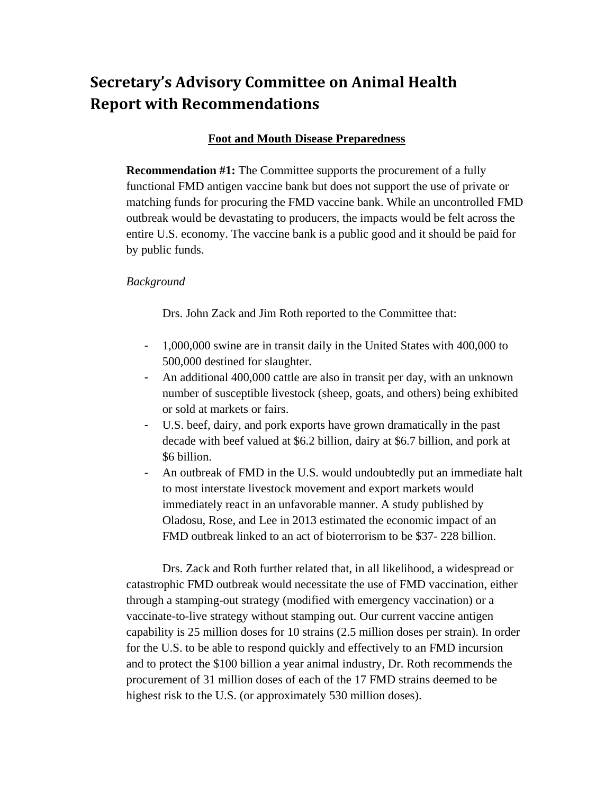# **Secretary's Advisory Committee on Animal Health Report with Recommendations**

# **Foot and Mouth Disease Preparedness**

**Recommendation #1:** The Committee supports the procurement of a fully functional FMD antigen vaccine bank but does not support the use of private or matching funds for procuring the FMD vaccine bank. While an uncontrolled FMD outbreak would be devastating to producers, the impacts would be felt across the entire U.S. economy. The vaccine bank is a public good and it should be paid for by public funds.

## *Background*

Drs. John Zack and Jim Roth reported to the Committee that:

- 1,000,000 swine are in transit daily in the United States with 400,000 to 500,000 destined for slaughter.
- An additional 400,000 cattle are also in transit per day, with an unknown number of susceptible livestock (sheep, goats, and others) being exhibited or sold at markets or fairs.
- U.S. beef, dairy, and pork exports have grown dramatically in the past decade with beef valued at \$6.2 billion, dairy at \$6.7 billion, and pork at \$6 billion.
- An outbreak of FMD in the U.S. would undoubtedly put an immediate halt to most interstate livestock movement and export markets would immediately react in an unfavorable manner. A study published by Oladosu, Rose, and Lee in 2013 estimated the economic impact of an FMD outbreak linked to an act of bioterrorism to be \$37- 228 billion.

Drs. Zack and Roth further related that, in all likelihood, a widespread or catastrophic FMD outbreak would necessitate the use of FMD vaccination, either through a stamping-out strategy (modified with emergency vaccination) or a vaccinate-to-live strategy without stamping out. Our current vaccine antigen capability is 25 million doses for 10 strains (2.5 million doses per strain). In order for the U.S. to be able to respond quickly and effectively to an FMD incursion and to protect the \$100 billion a year animal industry, Dr. Roth recommends the procurement of 31 million doses of each of the 17 FMD strains deemed to be highest risk to the U.S. (or approximately 530 million doses).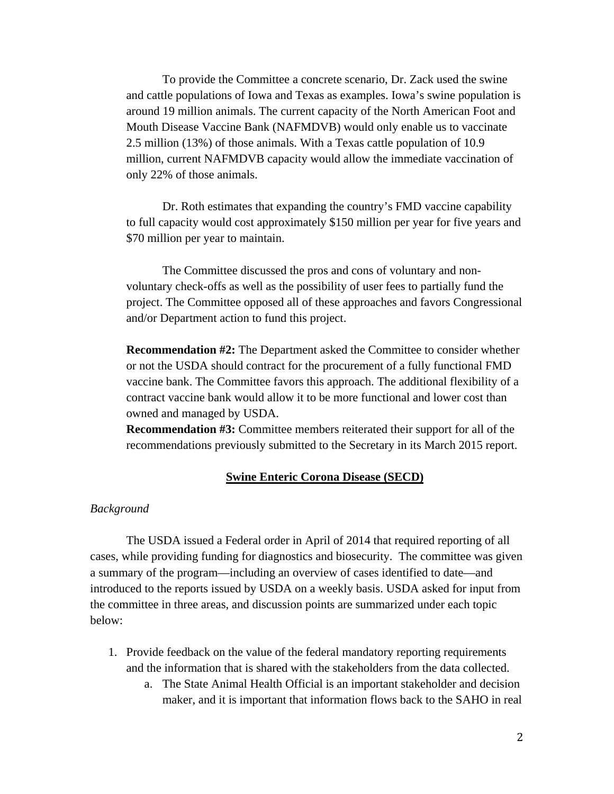To provide the Committee a concrete scenario, Dr. Zack used the swine and cattle populations of Iowa and Texas as examples. Iowa's swine population is around 19 million animals. The current capacity of the North American Foot and Mouth Disease Vaccine Bank (NAFMDVB) would only enable us to vaccinate 2.5 million (13%) of those animals. With a Texas cattle population of 10.9 million, current NAFMDVB capacity would allow the immediate vaccination of only 22% of those animals.

Dr. Roth estimates that expanding the country's FMD vaccine capability to full capacity would cost approximately \$150 million per year for five years and \$70 million per year to maintain.

The Committee discussed the pros and cons of voluntary and nonvoluntary check-offs as well as the possibility of user fees to partially fund the project. The Committee opposed all of these approaches and favors Congressional and/or Department action to fund this project.

**Recommendation #2:** The Department asked the Committee to consider whether or not the USDA should contract for the procurement of a fully functional FMD vaccine bank. The Committee favors this approach. The additional flexibility of a contract vaccine bank would allow it to be more functional and lower cost than owned and managed by USDA.

**Recommendation #3:** Committee members reiterated their support for all of the recommendations previously submitted to the Secretary in its March 2015 report.

#### **Swine Enteric Corona Disease (SECD)**

### *Background*

The USDA issued a Federal order in April of 2014 that required reporting of all cases, while providing funding for diagnostics and biosecurity. The committee was given a summary of the program—including an overview of cases identified to date—and introduced to the reports issued by USDA on a weekly basis. USDA asked for input from the committee in three areas, and discussion points are summarized under each topic below:

- 1. Provide feedback on the value of the federal mandatory reporting requirements and the information that is shared with the stakeholders from the data collected.
	- a. The State Animal Health Official is an important stakeholder and decision maker, and it is important that information flows back to the SAHO in real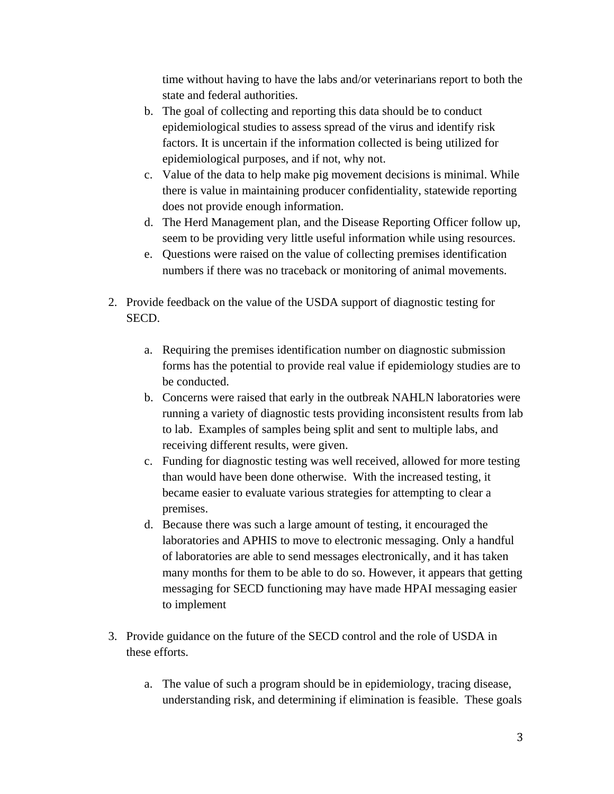time without having to have the labs and/or veterinarians report to both the state and federal authorities.

- b. The goal of collecting and reporting this data should be to conduct epidemiological studies to assess spread of the virus and identify risk factors. It is uncertain if the information collected is being utilized for epidemiological purposes, and if not, why not.
- c. Value of the data to help make pig movement decisions is minimal. While there is value in maintaining producer confidentiality, statewide reporting does not provide enough information.
- d. The Herd Management plan, and the Disease Reporting Officer follow up, seem to be providing very little useful information while using resources.
- e. Questions were raised on the value of collecting premises identification numbers if there was no traceback or monitoring of animal movements.
- 2. Provide feedback on the value of the USDA support of diagnostic testing for SECD.
	- a. Requiring the premises identification number on diagnostic submission forms has the potential to provide real value if epidemiology studies are to be conducted.
	- b. Concerns were raised that early in the outbreak NAHLN laboratories were running a variety of diagnostic tests providing inconsistent results from lab to lab. Examples of samples being split and sent to multiple labs, and receiving different results, were given.
	- c. Funding for diagnostic testing was well received, allowed for more testing than would have been done otherwise. With the increased testing, it became easier to evaluate various strategies for attempting to clear a premises.
	- d. Because there was such a large amount of testing, it encouraged the laboratories and APHIS to move to electronic messaging. Only a handful of laboratories are able to send messages electronically, and it has taken many months for them to be able to do so. However, it appears that getting messaging for SECD functioning may have made HPAI messaging easier to implement
- 3. Provide guidance on the future of the SECD control and the role of USDA in these efforts.
	- a. The value of such a program should be in epidemiology, tracing disease, understanding risk, and determining if elimination is feasible. These goals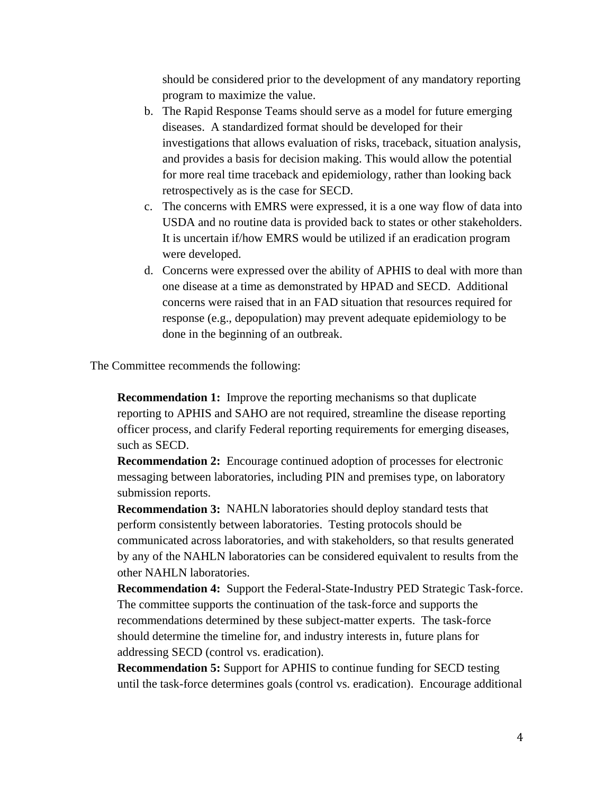should be considered prior to the development of any mandatory reporting program to maximize the value.

- b. The Rapid Response Teams should serve as a model for future emerging diseases. A standardized format should be developed for their investigations that allows evaluation of risks, traceback, situation analysis, and provides a basis for decision making. This would allow the potential for more real time traceback and epidemiology, rather than looking back retrospectively as is the case for SECD.
- c. The concerns with EMRS were expressed, it is a one way flow of data into USDA and no routine data is provided back to states or other stakeholders. It is uncertain if/how EMRS would be utilized if an eradication program were developed.
- d. Concerns were expressed over the ability of APHIS to deal with more than one disease at a time as demonstrated by HPAD and SECD. Additional concerns were raised that in an FAD situation that resources required for response (e.g., depopulation) may prevent adequate epidemiology to be done in the beginning of an outbreak.

The Committee recommends the following:

**Recommendation 1:** Improve the reporting mechanisms so that duplicate reporting to APHIS and SAHO are not required, streamline the disease reporting officer process, and clarify Federal reporting requirements for emerging diseases, such as SECD.

**Recommendation 2:** Encourage continued adoption of processes for electronic messaging between laboratories, including PIN and premises type, on laboratory submission reports.

**Recommendation 3:** NAHLN laboratories should deploy standard tests that perform consistently between laboratories. Testing protocols should be communicated across laboratories, and with stakeholders, so that results generated by any of the NAHLN laboratories can be considered equivalent to results from the other NAHLN laboratories.

**Recommendation 4:** Support the Federal-State-Industry PED Strategic Task-force. The committee supports the continuation of the task-force and supports the recommendations determined by these subject-matter experts. The task-force should determine the timeline for, and industry interests in, future plans for addressing SECD (control vs. eradication).

**Recommendation 5:** Support for APHIS to continue funding for SECD testing until the task-force determines goals (control vs. eradication). Encourage additional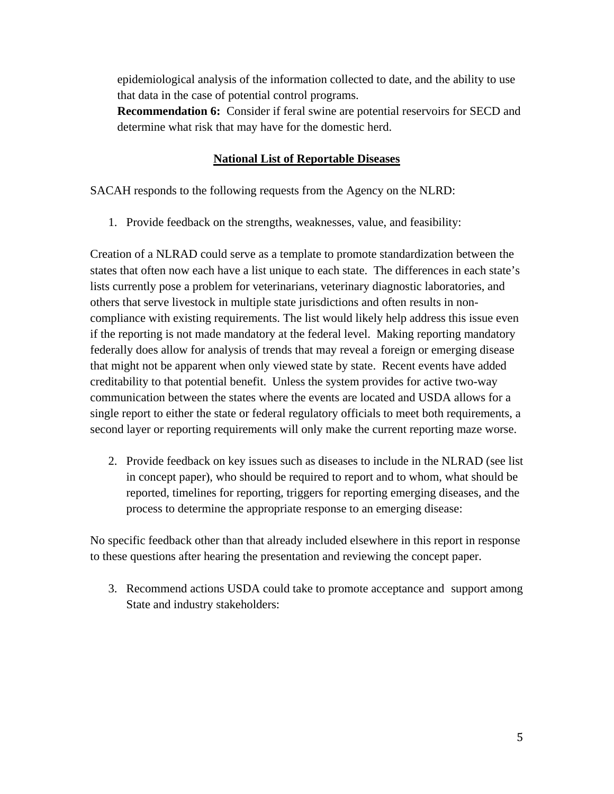epidemiological analysis of the information collected to date, and the ability to use that data in the case of potential control programs.

**Recommendation 6:** Consider if feral swine are potential reservoirs for SECD and determine what risk that may have for the domestic herd.

# **National List of Reportable Diseases**

SACAH responds to the following requests from the Agency on the NLRD:

1. Provide feedback on the strengths, weaknesses, value, and feasibility:

Creation of a NLRAD could serve as a template to promote standardization between the states that often now each have a list unique to each state. The differences in each state's lists currently pose a problem for veterinarians, veterinary diagnostic laboratories, and others that serve livestock in multiple state jurisdictions and often results in noncompliance with existing requirements. The list would likely help address this issue even if the reporting is not made mandatory at the federal level. Making reporting mandatory federally does allow for analysis of trends that may reveal a foreign or emerging disease that might not be apparent when only viewed state by state. Recent events have added creditability to that potential benefit. Unless the system provides for active two-way communication between the states where the events are located and USDA allows for a single report to either the state or federal regulatory officials to meet both requirements, a second layer or reporting requirements will only make the current reporting maze worse.

2. Provide feedback on key issues such as diseases to include in the NLRAD (see list in concept paper), who should be required to report and to whom, what should be reported, timelines for reporting, triggers for reporting emerging diseases, and the process to determine the appropriate response to an emerging disease:

No specific feedback other than that already included elsewhere in this report in response to these questions after hearing the presentation and reviewing the concept paper.

3. Recommend actions USDA could take to promote acceptance and support among State and industry stakeholders: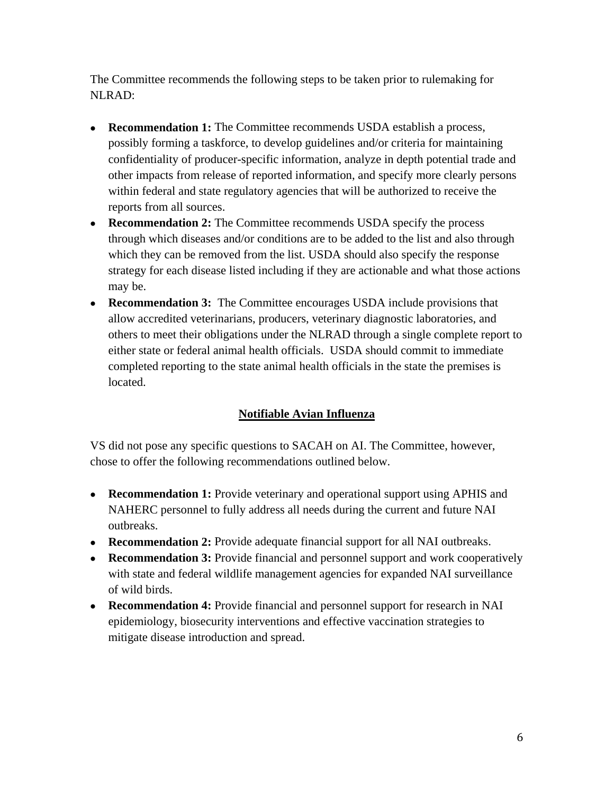The Committee recommends the following steps to be taken prior to rulemaking for NLRAD:

- **Recommendation 1:** The Committee recommends USDA establish a process, possibly forming a taskforce, to develop guidelines and/or criteria for maintaining confidentiality of producer-specific information, analyze in depth potential trade and other impacts from release of reported information, and specify more clearly persons within federal and state regulatory agencies that will be authorized to receive the reports from all sources.
- **Recommendation 2:** The Committee recommends USDA specify the process through which diseases and/or conditions are to be added to the list and also through which they can be removed from the list. USDA should also specify the response strategy for each disease listed including if they are actionable and what those actions may be.
- **Recommendation 3:** The Committee encourages USDA include provisions that allow accredited veterinarians, producers, veterinary diagnostic laboratories, and others to meet their obligations under the NLRAD through a single complete report to either state or federal animal health officials. USDA should commit to immediate completed reporting to the state animal health officials in the state the premises is located.

# **Notifiable Avian Influenza**

VS did not pose any specific questions to SACAH on AI. The Committee, however, chose to offer the following recommendations outlined below.

- **Recommendation 1:** Provide veterinary and operational support using APHIS and NAHERC personnel to fully address all needs during the current and future NAI outbreaks.
- **Recommendation 2:** Provide adequate financial support for all NAI outbreaks.
- **Recommendation 3:** Provide financial and personnel support and work cooperatively with state and federal wildlife management agencies for expanded NAI surveillance of wild birds.
- **Recommendation 4:** Provide financial and personnel support for research in NAI epidemiology, biosecurity interventions and effective vaccination strategies to mitigate disease introduction and spread.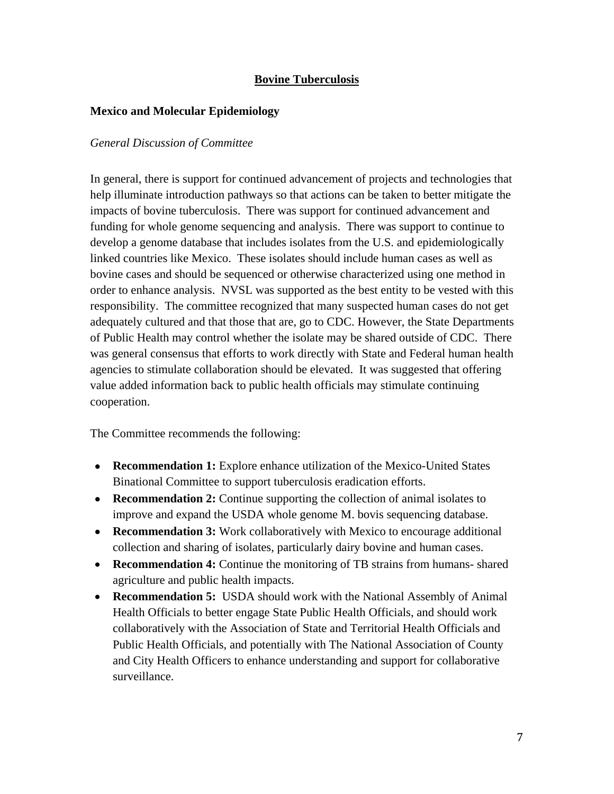# **Bovine Tuberculosis**

## **Mexico and Molecular Epidemiology**

## *General Discussion of Committee*

In general, there is support for continued advancement of projects and technologies that help illuminate introduction pathways so that actions can be taken to better mitigate the impacts of bovine tuberculosis. There was support for continued advancement and funding for whole genome sequencing and analysis. There was support to continue to develop a genome database that includes isolates from the U.S. and epidemiologically linked countries like Mexico. These isolates should include human cases as well as bovine cases and should be sequenced or otherwise characterized using one method in order to enhance analysis. NVSL was supported as the best entity to be vested with this responsibility. The committee recognized that many suspected human cases do not get adequately cultured and that those that are, go to CDC. However, the State Departments of Public Health may control whether the isolate may be shared outside of CDC. There was general consensus that efforts to work directly with State and Federal human health agencies to stimulate collaboration should be elevated. It was suggested that offering value added information back to public health officials may stimulate continuing cooperation.

The Committee recommends the following:

- **Recommendation 1:** Explore enhance utilization of the Mexico-United States Binational Committee to support tuberculosis eradication efforts.
- **Recommendation 2:** Continue supporting the collection of animal isolates to improve and expand the USDA whole genome M. bovis sequencing database.
- **Recommendation 3:** Work collaboratively with Mexico to encourage additional collection and sharing of isolates, particularly dairy bovine and human cases.
- **Recommendation 4:** Continue the monitoring of TB strains from humans- shared agriculture and public health impacts.
- **Recommendation 5:** USDA should work with the National Assembly of Animal Health Officials to better engage State Public Health Officials, and should work collaboratively with the Association of State and Territorial Health Officials and Public Health Officials, and potentially with The National Association of County and City Health Officers to enhance understanding and support for collaborative surveillance.